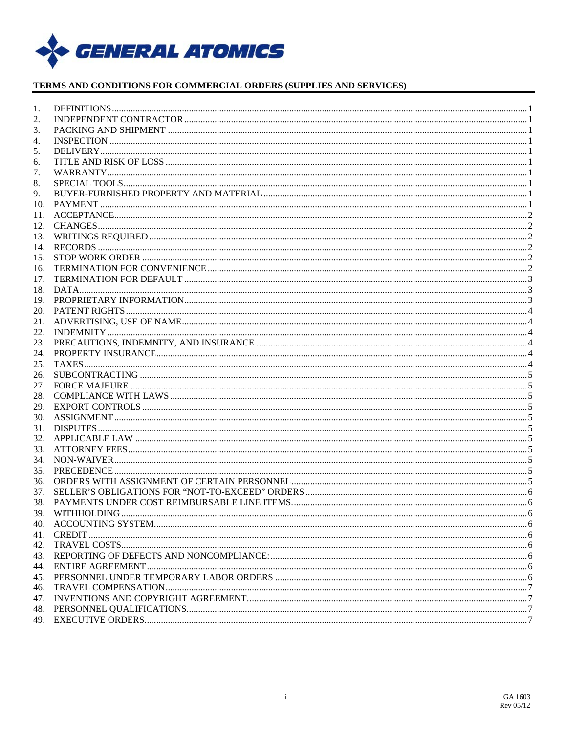

## TERMS AND CONDITIONS FOR COMMERCIAL ORDERS (SUPPLIES AND SERVICES)

| 1.  |             |  |
|-----|-------------|--|
| 2.  |             |  |
| 3.  |             |  |
| 4.  |             |  |
| 5.  |             |  |
| 6.  |             |  |
| 7.  |             |  |
| 8.  |             |  |
| 9.  |             |  |
| 10. |             |  |
| 11. |             |  |
|     |             |  |
| 13. |             |  |
| 14. |             |  |
| 15. |             |  |
| 16. |             |  |
| 17. |             |  |
|     |             |  |
|     |             |  |
|     |             |  |
|     |             |  |
| 22. |             |  |
| 23. |             |  |
|     |             |  |
| 25. |             |  |
| 26. |             |  |
|     |             |  |
|     |             |  |
|     |             |  |
|     |             |  |
|     |             |  |
|     |             |  |
|     |             |  |
|     |             |  |
| 35. |             |  |
| 36. |             |  |
| 37. |             |  |
| 38. |             |  |
|     |             |  |
|     |             |  |
|     | 41. CREDIT. |  |
|     |             |  |
|     |             |  |
|     |             |  |
|     |             |  |
| 46. |             |  |
| 47. |             |  |
|     |             |  |
|     |             |  |
|     |             |  |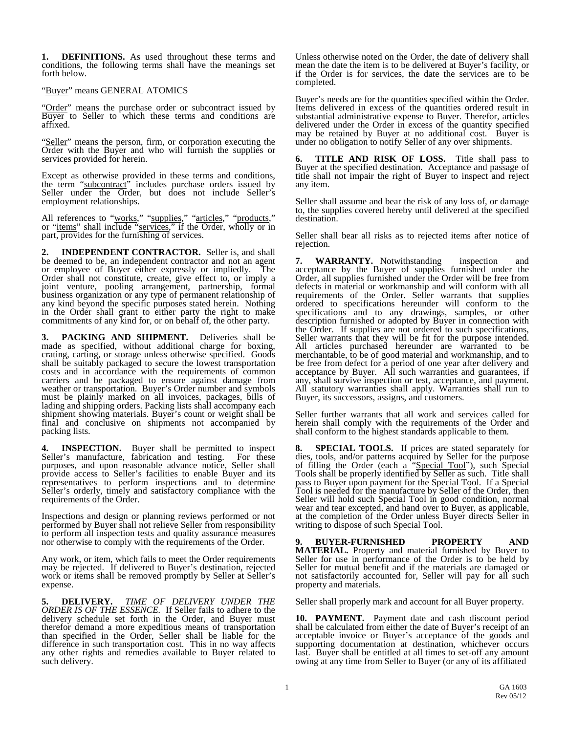<span id="page-1-0"></span>**1. DEFINITIONS.** As used throughout these terms and conditions, the following terms shall have the meanings set forth below.

### "Buyer" means GENERAL ATOMICS

"Order" means the purchase order or subcontract issued by Buyer to Seller to which these terms and conditions are affixed.

"Seller" means the person, firm, or corporation executing the Order with the Buyer and who will furnish the supplies or services provided for herein.

Except as otherwise provided in these terms and conditions, the term "subcontract" includes purchase orders issued by Seller under the Order, but does not include Seller's employment relationships.

All references to "works," "supplies," "articles," "products," or "items" shall include "services," if the Order, wholly or in part, provides for the furnishing of services.

<span id="page-1-1"></span>**2. INDEPENDENT CONTRACTOR.** Seller is, and shall be deemed to be, an independent contractor and not an agent or employee of Buyer either expressly or impliedly. The or employee of Buyer either expressly or impliedly. Order shall not constitute, create, give effect to, or imply a joint venture, pooling arrangement, partnership, formal business organization or any type of permanent relationship of any kind beyond the specific purposes stated herein. Nothing in the Order shall grant to either party the right to make commitments of any kind for, or on behalf of, the other party.

<span id="page-1-2"></span>**3. PACKING AND SHIPMENT.** Deliveries shall be made as specified, without additional charge for boxing, crating, carting, or storage unless otherwise specified. Goods shall be suitably packaged to secure the lowest transportation costs and in accordance with the requirements of common carriers and be packaged to ensure against damage from weather or transportation. Buyer's Order number and symbols must be plainly marked on all invoices, packages, bills of lading and shipping orders. Packing lists shall accompany each shipment showing materials. Buyer's count or weight shall be final and conclusive on shipments not accompanied by packing lists.

<span id="page-1-3"></span>**INSPECTION.** Buyer shall be permitted to inspect it is manufacture, fabrication and testing. For these Seller's manufacture, fabrication and testing. purposes, and upon reasonable advance notice, Seller shall provide access to Seller's facilities to enable Buyer and its representatives to perform inspections and to determine Seller's orderly, timely and satisfactory compliance with the requirements of the Order.

Inspections and design or planning reviews performed or not performed by Buyer shall not relieve Seller from responsibility to perform all inspection tests and quality assurance measures nor otherwise to comply with the requirements of the Order.

Any work, or item, which fails to meet the Order requirements may be rejected. If delivered to Buyer's destination, rejected work or items shall be removed promptly by Seller at Seller's expense.

<span id="page-1-4"></span>**5. DELIVERY.** *TIME OF DELIVERY UNDER THE ORDER IS OF THE ESSENCE.* If Seller fails to adhere to the delivery schedule set forth in the Order, and Buyer must therefor demand a more expeditious means of transportation than specified in the Order, Seller shall be liable for the difference in such transportation cost. This in no way affects any other rights and remedies available to Buyer related to such delivery.

Unless otherwise noted on the Order, the date of delivery shall mean the date the item is to be delivered at Buyer's facility, or if the Order is for services, the date the services are to be completed.

Buyer's needs are for the quantities specified within the Order. Items delivered in excess of the quantities ordered result in substantial administrative expense to Buyer. Therefor, articles delivered under the Order in excess of the quantity specified may be retained by Buyer at no additional cost. Buyer is under no obligation to notify Seller of any over shipments.

<span id="page-1-5"></span>**TITLE AND RISK OF LOSS.** Title shall pass to Buyer at the specified destination. Acceptance and passage of title shall not impair the right of Buyer to inspect and reject any item.

Seller shall assume and bear the risk of any loss of, or damage to, the supplies covered hereby until delivered at the specified destination.

Seller shall bear all risks as to rejected items after notice of rejection.

<span id="page-1-6"></span>**7. WARRANTY.** Notwithstanding inspection and acceptance by the Buyer of supplies furnished under the Order, all supplies furnished under the Order will be free from defects in material or workmanship and will conform with all requirements of the Order. Seller warrants that supplies ordered to specifications hereunder will conform to the specifications and to any drawings, samples, or other description furnished or adopted by Buyer in connection with the Order. If supplies are not ordered to such specifications, Seller warrants that they will be fit for the purpose intended. All articles purchased hereunder are warranted to be merchantable, to be of good material and workmanship, and to be free from defect for a period of one year after delivery and acceptance by Buyer. All such warranties and guarantees, if any, shall survive inspection or test, acceptance, and payment. All statutory warranties shall apply. Warranties shall run to Buyer, its successors, assigns, and customers.

Seller further warrants that all work and services called for herein shall comply with the requirements of the Order and shall conform to the highest standards applicable to them.

<span id="page-1-7"></span>**8. SPECIAL TOOLS.** If prices are stated separately for dies, tools, and/or patterns acquired by Seller for the purpose of filling the Order (each a "Special Tool"), such Special Tools shall be properly identified by Seller as such. Title shall pass to Buyer upon payment for the Special Tool. If a Special Tool is needed for the manufacture by Seller of the Order, then Seller will hold such Special Tool in good condition, normal wear and tear excepted, and hand over to Buyer, as applicable, at the completion of the Order unless Buyer directs Seller in writing to dispose of such Special Tool.

<span id="page-1-8"></span>**BUYER-FURNISHED PROPERTY MATERIAL.** Property and material furnished by Buyer to Seller for use in performance of the Order is to be held by Seller for mutual benefit and if the materials are damaged or not satisfactorily accounted for, Seller will pay for all such property and materials.

Seller shall properly mark and account for all Buyer property.

<span id="page-1-9"></span>**10. PAYMENT.** Payment date and cash discount period shall be calculated from either the date of Buyer's receipt of an acceptable invoice or Buyer's acceptance of the goods and supporting documentation at destination, whichever occurs last. Buyer shall be entitled at all times to set-off any amount owing at any time from Seller to Buyer (or any of its affiliated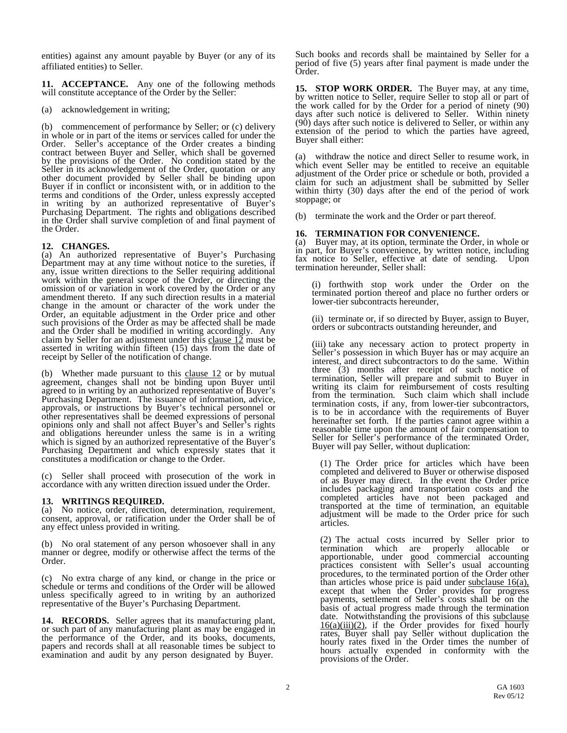entities) against any amount payable by Buyer (or any of its affiliated entities) to Seller.

<span id="page-2-0"></span>**11. ACCEPTANCE.** Any one of the following methods will constitute acceptance of the Order by the Seller:

(a) acknowledgement in writing;

(b) commencement of performance by Seller; or (c) delivery in whole or in part of the items or services called for under the Order. Seller's acceptance of the Order creates a binding contract between Buyer and Seller, which shall be governed by the provisions of the Order. No condition stated by the Seller in its acknowledgement of the Order, quotation or any other document provided by Seller shall be binding upon Buyer if in conflict or inconsistent with, or in addition to the terms and conditions of the Order, unless expressly accepted in writing by an authorized representative of Buyer's Purchasing Department. The rights and obligations described in the Order shall survive completion of and final payment of the Order.

<span id="page-2-1"></span>**12. CHANGES.** (a) An authorized representative of Buyer's Purchasing Department may at any time without notice to the sureties, if any, issue written directions to the Seller requiring additional work within the general scope of the Order, or directing the omission of or variation in work covered by the Order or any amendment thereto. If any such direction results in a material change in the amount or character of the work under the Order, an equitable adjustment in the Order price and other such provisions of the Order as may be affected shall be made and the Order shall be modified in writing accordingly. Any claim by Seller for an adjustment under this clause  $12$  must be asserted in writing within fifteen (15) days from the date of receipt by Seller of the notification of change.

(b) Whether made pursuant to this clause  $12$  or by mutual agreement, changes shall not be binding upon Buyer until agreed to in writing by an authorized representative of Buyer's Purchasing Department. The issuance of information, advice, approvals, or instructions by Buyer's technical personnel or other representatives shall be deemed expressions of personal opinions only and shall not affect Buyer's and Seller's rights and obligations hereunder unless the same is in a writing which is signed by an authorized representative of the Buyer's Purchasing Department and which expressly states that it constitutes a modification or change to the Order.

(c) Seller shall proceed with prosecution of the work in accordance with any written direction issued under the Order.

<span id="page-2-2"></span>**13. WRITINGS REQUIRED.** (a) No notice, order, direction, determination, requirement, consent, approval, or ratification under the Order shall be of any effect unless provided in writing.

(b) No oral statement of any person whosoever shall in any manner or degree, modify or otherwise affect the terms of the Order.

(c) No extra charge of any kind, or change in the price or schedule or terms and conditions of the Order will be allowed unless specifically agreed to in writing by an authorized representative of the Buyer's Purchasing Department.

<span id="page-2-3"></span>**14. RECORDS.** Seller agrees that its manufacturing plant, or such part of any manufacturing plant as may be engaged in the performance of the Order, and its books, documents, papers and records shall at all reasonable times be subject to examination and audit by any person designated by Buyer.

Such books and records shall be maintained by Seller for a period of five (5) years after final payment is made under the Order.

<span id="page-2-4"></span>**15. STOP WORK ORDER.** The Buyer may, at any time, by written notice to Seller, require Seller to stop all or part of the work called for by the Order for a period of ninety (90) days after such notice is delivered to Seller. Within ninety (90) days after such notice is delivered to Seller, or within any extension of the period to which the parties have agreed, Buyer shall either:

(a) withdraw the notice and direct Seller to resume work, in which event Seller may be entitled to receive an equitable adjustment of the Order price or schedule or both, provided a claim for such an adjustment shall be submitted by Seller within thirty (30) days after the end of the period of work stoppage; or

(b) terminate the work and the Order or part thereof.

<span id="page-2-5"></span>**16. TERMINATION FOR CONVENIENCE.** (a) Buyer may, at its option, terminate the Order, in whole or in part, for Buyer's convenience, by written notice, including fax notice to Seller, effective at date of sending. Upon termination hereunder, Seller shall:

(i) forthwith stop work under the Order on the terminated portion thereof and place no further orders or lower-tier subcontracts hereunder,

(ii) terminate or, if so directed by Buyer, assign to Buyer, orders or subcontracts outstanding hereunder, and

(iii) take any necessary action to protect property in Seller's possession in which Buyer has or may acquire an interest, and direct subcontractors to do the same. Within three (3) months after receipt of such notice of termination, Seller will prepare and submit to Buyer in writing its claim for reimbursement of costs resulting from the termination. Such claim which shall include termination costs, if any, from lower-tier subcontractors, is to be in accordance with the requirements of Buyer hereinafter set forth. If the parties cannot agree within a reasonable time upon the amount of fair compensation to Seller for Seller's performance of the terminated Order, Buyer will pay Seller, without duplication:

(1) The Order price for articles which have been completed and delivered to Buyer or otherwise disposed of as Buyer may direct. In the event the Order price includes packaging and transportation costs and the completed articles have not been packaged and transported at the time of termination, an equitable adjustment will be made to the Order price for such articles.

(2) The actual costs incurred by Seller prior to termination which are properly allocable or apportionable, under good commercial accounting practices consistent with Seller's usual accounting procedures, to the terminated portion of the Order other than articles whose price is paid under subclause  $16(a)$ , except that when the Order provides for progress payments, settlement of Seller's costs shall be on the basis of actual progress made through the termination date. Notwithstanding the provisions of this subclause  $16(a)(iii)(2)$ , if the Order provides for fixed hourly rates, Buyer shall pay Seller without duplication the hourly rates fixed in the Order times the number of hours actually expended in conformity with the provisions of the Order.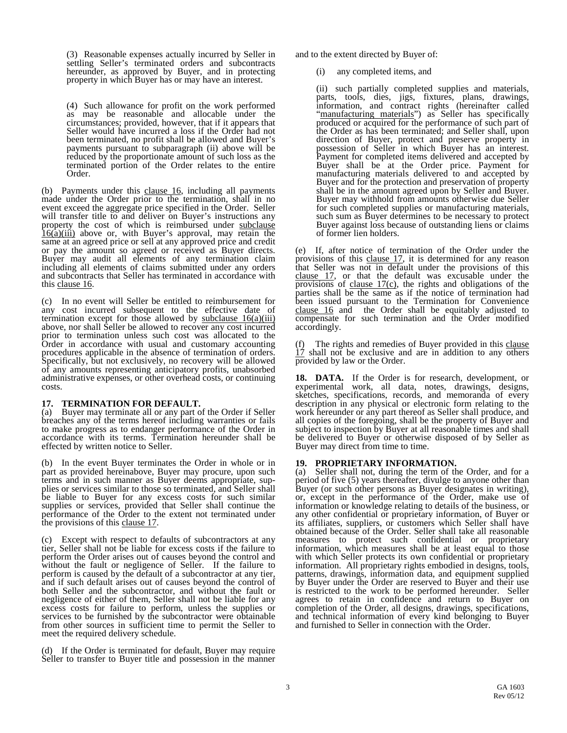(3) Reasonable expenses actually incurred by Seller in settling Seller's terminated orders and subcontracts hereunder, as approved by Buyer, and in protecting property in which Buyer has or may have an interest.

(4) Such allowance for profit on the work performed as may be reasonable and allocable under the circumstances; provided, however, that if it appears that Seller would have incurred a loss if the Order had not been terminated, no profit shall be allowed and Buyer's payments pursuant to subparagraph (ii) above will be reduced by the proportionate amount of such loss as the terminated portion of the Order relates to the entire Order.

(b) Payments under this clause 16, including all payments made under the Order prior to the termination, shall in no event exceed the aggregate price specified in the Order. Seller will transfer title to and deliver on Buyer's instructions any property the cost of which is reimbursed under subclause  $\overline{16(a)}$ (iii) above or, with Buyer's approval, may retain the same at an agreed price or sell at any approved price and credit or pay the amount so agreed or received as Buyer directs. Buyer may audit all elements of any termination claim including all elements of claims submitted under any orders and subcontracts that Seller has terminated in accordance with this clause 16.

(c) In no event will Seller be entitled to reimbursement for any cost incurred subsequent to the effective date of termination except for those allowed by subclause  $16(a)(iii)$ above, nor shall Seller be allowed to recover any cost incurred prior to termination unless such cost was allocated to the Order in accordance with usual and customary accounting procedures applicable in the absence of termination of orders. Specifically, but not exclusively, no recovery will be allowed of any amounts representing anticipatory profits, unabsorbed administrative expenses, or other overhead costs, or continuing costs.

<span id="page-3-0"></span>**17. TERMINATION FOR DEFAULT.** (a) Buyer may terminate all or any part of the Order if Seller breaches any of the terms hereof including warranties or fails to make progress as to endanger performance of the Order in accordance with its terms. Termination hereunder shall be effected by written notice to Seller.

(b) In the event Buyer terminates the Order in whole or in part as provided hereinabove, Buyer may procure, upon such terms and in such manner as Buyer deems appropriate, sup- plies or services similar to those so terminated, and Seller shall be liable to Buyer for any excess costs for such similar supplies or services, provided that Seller shall continue the performance of the Order to the extent not terminated under the provisions of this clause 17.

(c) Except with respect to defaults of subcontractors at any tier, Seller shall not be liable for excess costs if the failure to perform the Order arises out of causes beyond the control and without the fault or negligence of Seller. If the failure to perform is caused by the default of a subcontractor at any tier, and if such default arises out of causes beyond the control of both Seller and the subcontractor, and without the fault or negligence of either of them, Seller shall not be liable for any excess costs for failure to perform, unless the supplies or services to be furnished by the subcontractor were obtainable from other sources in sufficient time to permit the Seller to meet the required delivery schedule.

(d) If the Order is terminated for default, Buyer may require Seller to transfer to Buyer title and possession in the manner and to the extent directed by Buyer of:

(i) any completed items, and

(ii) such partially completed supplies and materials, parts, tools, dies, jigs, fixtures, plans, drawings, information, and contract rights (hereinafter called "manufacturing materials") as Seller has specifically produced or acquired for the performance of such part of the Order as has been terminated; and Seller shall, upon direction of Buyer, protect and preserve property in possession of Seller in which Buyer has an interest. Payment for completed items delivered and accepted by Buyer shall be at the Order price. Payment for manufacturing materials delivered to and accepted by Buyer and for the protection and preservation of property shall be in the amount agreed upon by Seller and Buyer. Buyer may withhold from amounts otherwise due Seller for such completed supplies or manufacturing materials, such sum as Buyer determines to be necessary to protect Buyer against loss because of outstanding liens or claims of former lien holders.

(e) If, after notice of termination of the Order under the provisions of this clause 17, it is determined for any reason that Seller was not in default under the provisions of this clause 17, or that the default was excusable under the provisions of clause  $17(c)$ , the rights and obligations of the parties shall be the same as if the notice of termination had been issued pursuant to the Termination for Convenience clause 16 and the Order shall be equitably adjusted to compensate for such termination and the Order modified accordingly.

The rights and remedies of Buyer provided in this clause 17 shall not be exclusive and are in addition to any others provided by law or the Order.

<span id="page-3-1"></span>**18. DATA.** If the Order is for research, development, or experimental work, all data, notes, drawings, designs, sketches, specifications, records, and memoranda of every description in any physical or electronic form relating to the work hereunder or any part thereof as Seller shall produce, and all copies of the foregoing, shall be the property of Buyer and subject to inspection by Buyer at all reasonable times and shall be delivered to Buyer or otherwise disposed of by Seller as Buyer may direct from time to time.

<span id="page-3-2"></span>**19. PROPRIETARY INFORMATION.** (a) Seller shall not, during the term of the Order, and for a period of five (5) years thereafter, divulge to anyone other than Buyer (or such other persons as Buyer designates in writing), or, except in the performance of the Order, make use of information or knowledge relating to details of the business, or any other confidential or proprietary information, of Buyer or its affiliates, suppliers, or customers which Seller shall have obtained because of the Order. Seller shall take all reasonable measures to protect such confidential or proprietary information, which measures shall be at least equal to those with which Seller protects its own confidential or proprietary information. All proprietary rights embodied in designs, tools, patterns, drawings, information data, and equipment supplied by Buyer under the Order are reserved to Buyer and their use is restricted to the work to be performed hereunder. Seller agrees to retain in confidence and return to Buyer on completion of the Order, all designs, drawings, specifications, and technical information of every kind belonging to Buyer and furnished to Seller in connection with the Order.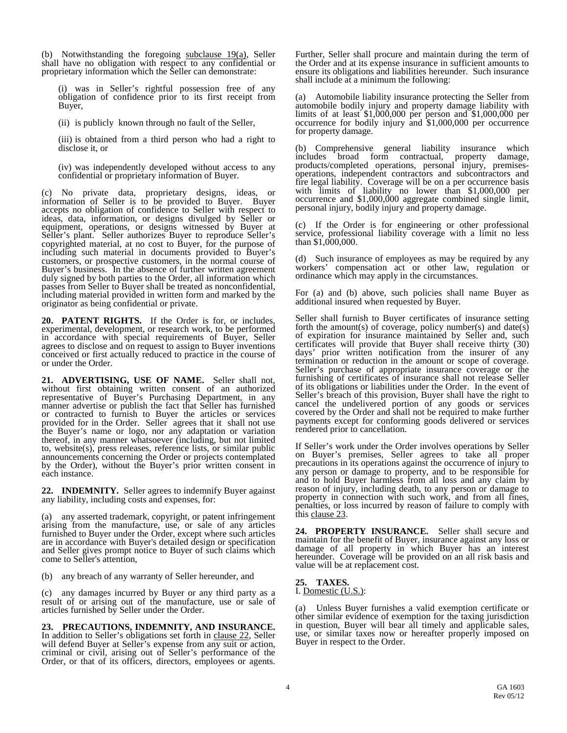(b) Notwithstanding the foregoing  $subclause$  19(a), Seller shall have no obligation with respect to any confidential or proprietary information which the Seller can demonstrate:

(i) was in Seller's rightful possession free of any obligation of confidence prior to its first receipt from Buyer,

(ii) is publicly known through no fault of the Seller,

(iii) is obtained from a third person who had a right to disclose it, or

(iv) was independently developed without access to any confidential or proprietary information of Buyer.

(c) No private data, proprietary designs, ideas, or information of Seller is to be provided to Buyer. Buyer accepts no obligation of confidence to Seller with respect to ideas, data, information, or designs divulged by Seller or equipment, operations, or designs witnessed by Buyer at Seller's plant. Seller authorizes Buyer to reproduce Seller's copyrighted material, at no cost to Buyer, for the purpose of including such material in documents provided to Buyer's customers, or prospective customers, in the normal course of Buyer's business. In the absence of further written agreement duly signed by both parties to the Order, all information which passes from Seller to Buyer shall be treated as nonconfidential, including material provided in written form and marked by the originator as being confidential or private.

<span id="page-4-0"></span>**20. PATENT RIGHTS.** If the Order is for, or includes, experimental, development, or research work, to be performed in accordance with special requirements of Buyer, Seller agrees to disclose and on request to assign to Buyer inventions conceived or first actually reduced to practice in the course of or under the Order.

<span id="page-4-1"></span>**21. ADVERTISING, USE OF NAME.** Seller shall not, without first obtaining written consent of an authorized representative of Buyer's Purchasing Department, in any manner advertise or publish the fact that Seller has furnished or contracted to furnish to Buyer the articles or services provided for in the Order. Seller agrees that it shall not use the Buyer's name or logo, nor any adaptation or variation thereof, in any manner whatsoever (including, but not limited to, website(s), press releases, reference lists, or similar public announcements concerning the Order or projects contemplated by the Order), without the Buyer's prior written consent in each instance.

<span id="page-4-2"></span>**22. INDEMNITY.** Seller agrees to indemnify Buyer against any liability, including costs and expenses, for:

(a) any asserted trademark, copyright, or patent infringement arising from the manufacture, use, or sale of any articles furnished to Buyer under the Order, except where such articles are in accordance with Buyer's detailed design or specification and Seller gives prompt notice to Buyer of such claims which come to Seller's attention,

(b) any breach of any warranty of Seller hereunder, and

(c) any damages incurred by Buyer or any third party as a result of or arising out of the manufacture, use or sale of articles furnished by Seller under the Order.

<span id="page-4-3"></span>**23. PRECAUTIONS, INDEMNITY, AND INSURANCE.** In addition to Seller's obligations set forth in clause 22, Seller will defend Buyer at Seller's expense from any suit or action, criminal or civil, arising out of Seller's performance of the Order, or that of its officers, directors, employees or agents.

Further, Seller shall procure and maintain during the term of the Order and at its expense insurance in sufficient amounts to ensure its obligations and liabilities hereunder. Such insurance shall include at a minimum the following:

(a) Automobile liability insurance protecting the Seller from automobile bodily injury and property damage liability with limits of at least \$1,000,000 per person and \$1,000,000 per occurrence for bodily injury and \$1,000,000 per occurrence for property damage.

(b) Comprehensive general liability insurance which includes broad form contractual, property damage. includes broad form contractual, property damage, products/completed operations, personal injury, premisesperations, independent contractors and subcontractors and fire legal liability. Coverage will be on a per occurrence basis with limits of liability no lower than \$1,000,000 per occurrence and \$1,000,000 aggregate combined single limit, personal injury, bodily injury and property damage.

(c) If the Order is for engineering or other professional service, professional liability coverage with a limit no less than \$1,000,000.

(d) Such insurance of employees as may be required by any workers' compensation act or other law, regulation or ordinance which may apply in the circumstances.

For (a) and (b) above, such policies shall name Buyer as additional insured when requested by Buyer.

Seller shall furnish to Buyer certificates of insurance setting forth the amount(s) of coverage, policy number(s) and date(s) of expiration for insurance maintained by Seller and, such certificates will provide that Buyer shall receive thirty (30) days' prior written notification from the insurer of any termination or reduction in the amount or scope of coverage. Seller's purchase of appropriate insurance coverage or the furnishing of certificates of insurance shall not release Seller of its obligations or liabilities under the Order. In the event of Seller's breach of this provision, Buyer shall have the right to cancel the undelivered portion of any goods or services covered by the Order and shall not be required to make further payments except for conforming goods delivered or services rendered prior to cancellation.

If Seller's work under the Order involves operations by Seller on Buyer's premises, Seller agrees to take all proper precautions in its operations against the occurrence of injury to any person or damage to property, and to be responsible for and to hold Buyer harmless from all loss and any claim by reason of injury, including death, to any person or damage to property in connection with such work, and from all fines, penalties, or loss incurred by reason of failure to comply with this clause 23.

<span id="page-4-4"></span>**24. PROPERTY INSURANCE.** Seller shall secure and maintain for the benefit of Buyer, insurance against any loss or damage of all property in which Buyer has an interest hereunder. Coverage will be provided on an all risk basis and value will be at replacement cost.

<span id="page-4-5"></span>**25. TAXES.** I. Domestic (U.S.):

(a) Unless Buyer furnishes a valid exemption certificate or other similar evidence of exemption for the taxing jurisdiction in question, Buyer will bear all timely and applicable sales, use, or similar taxes now or hereafter properly imposed on Buyer in respect to the Order.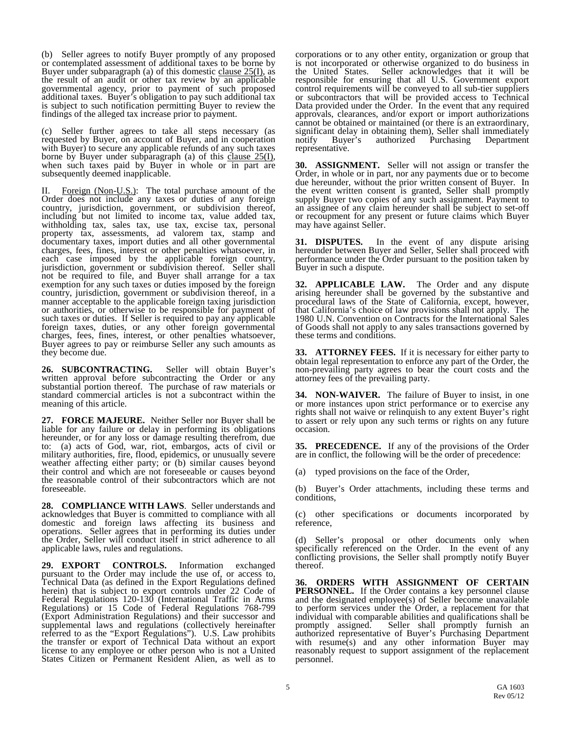(b) Seller agrees to notify Buyer promptly of any proposed or contemplated assessment of additional taxes to be borne by Buyer under subparagraph (a) of this domestic clause  $25(I)$ , as the result of an audit or other tax review by an applicable governmental agency, prior to payment of such proposed additional taxes. Buyer's obligation to pay such additional tax is subject to such notification permitting Buyer to review the findings of the alleged tax increase prior to payment.

(c) Seller further agrees to take all steps necessary (as requested by Buyer, on account of Buyer, and in cooperation with Buyer) to secure any applicable refunds of any such taxes borne by Buyer under subparagraph (a) of this clause  $25(1)$ , when such taxes paid by Buyer in whole or in part are subsequently deemed inapplicable.

II. Foreign (Non-U.S.): The total purchase amount of the Order does not include any taxes or duties of any foreign country, jurisdiction, government, or subdivision thereof, including but not limited to income tax, value added tax, withholding tax, sales tax, use tax, excise tax, personal property tax, assessments, ad valorem tax, stamp and documentary taxes, import duties and all other governmental charges, fees, fines, interest or other penalties whatsoever, in each case imposed by the applicable foreign country, jurisdiction, government or subdivision thereof. Seller shall not be required to file, and Buyer shall arrange for a tax exemption for any such taxes or duties imposed by the foreign country, jurisdiction, government or subdivision thereof, in a manner acceptable to the applicable foreign taxing jurisdiction or authorities, or otherwise to be responsible for payment of such taxes or duties. If Seller is required to pay any applicable foreign taxes, duties, or any other foreign governmental charges, fees, fines, interest, or other penalties whatsoever, Buyer agrees to pay or reimburse Seller any such amounts as they become due.

<span id="page-5-0"></span>**26. SUBCONTRACTING.** Seller will obtain Buyer's written approval before subcontracting the Order or any substantial portion thereof. The purchase of raw materials or standard commercial articles is not a subcontract within the meaning of this article.

<span id="page-5-1"></span>**27. FORCE MAJEURE.** Neither Seller nor Buyer shall be liable for any failure or delay in performing its obligations hereunder, or for any loss or damage resulting therefrom, due to: (a) acts of God, war, riot, embargos, acts of civil or military authorities, fire, flood, epidemics, or unusually severe weather affecting either party; or (b) similar causes beyond their control and which are not foreseeable or causes beyond the reasonable control of their subcontractors which are not foreseeable.

<span id="page-5-2"></span>**28. COMPLIANCE WITH LAWS**. Seller understands and acknowledges that Buyer is committed to compliance with all domestic and foreign laws affecting its business and operations. Seller agrees that in performing its duties under the Order, Seller will conduct itself in strict adherence to all applicable laws, rules and regulations.

<span id="page-5-3"></span>**29. EXPORT CONTROLS.** Information exchanged pursuant to the Order may include the use of, or access to, Technical Data (as defined in the Export Regulations defined herein) that is subject to export controls under 22 Code of Federal Regulations 120-130 (International Traffic in Arms Regulations) or 15 Code of Federal Regulations 768-799 (Export Administration Regulations) and their successor and supplemental laws and regulations (collectively hereinafter referred to as the "Export Regulations"). U.S. Law prohibits the transfer or export of Technical Data without an export license to any employee or other person who is not a United States Citizen or Permanent Resident Alien, as well as to

corporations or to any other entity, organization or group that is not incorporated or otherwise organized to do business in the United States. Seller acknowledges that it will be Seller acknowledges that it will be responsible for ensuring that all U.S. Government export control requirements will be conveyed to all sub-tier suppliers or subcontractors that will be provided access to Technical Data provided under the Order. In the event that any required approvals, clearances, and/or export or import authorizations cannot be obtained or maintained (or there is an extraordinary, significant delay in obtaining them), Seller shall immediately<br>notify Buyer's authorized Purchasing Department Purchasing Department representative.

<span id="page-5-4"></span>**30. ASSIGNMENT.** Seller will not assign or transfer the Order, in whole or in part, nor any payments due or to become due hereunder, without the prior written consent of Buyer. In the event written consent is granted, Seller shall promptly supply Buyer two copies of any such assignment. Payment to an assignee of any claim hereunder shall be subject to set-off or recoupment for any present or future claims which Buyer may have against Seller.

<span id="page-5-5"></span>**31. DISPUTES.** In the event of any dispute arising hereunder between Buyer and Seller, Seller shall proceed with performance under the Order pursuant to the position taken by Buyer in such a dispute.

<span id="page-5-6"></span>**32. APPLICABLE LAW.** The Order and any dispute arising hereunder shall be governed by the substantive and procedural laws of the State of California, except, however, that California's choice of law provisions shall not apply. The 1980 U.N. Convention on Contracts for the International Sales of Goods shall not apply to any sales transactions governed by these terms and conditions.

<span id="page-5-7"></span>**33. ATTORNEY FEES.** If it is necessary for either party to obtain legal representation to enforce any part of the Order, the non-prevailing party agrees to bear the court costs and the attorney fees of the prevailing party.

<span id="page-5-8"></span>**34. NON-WAIVER.** The failure of Buyer to insist, in one or more instances upon strict performance or to exercise any rights shall not waive or relinquish to any extent Buyer's right to assert or rely upon any such terms or rights on any future occasion.

<span id="page-5-9"></span>**35. PRECEDENCE.** If any of the provisions of the Order are in conflict, the following will be the order of precedence:

(a) typed provisions on the face of the Order,

(b) Buyer's Order attachments, including these terms and conditions,

(c) other specifications or documents incorporated by reference,

(d) Seller's proposal or other documents only when specifically referenced on the Order. In the event of any conflicting provisions, the Seller shall promptly notify Buyer thereof.

<span id="page-5-10"></span>**36. ORDERS WITH ASSIGNMENT OF CERTAIN**  PERSONNEL. If the Order contains a key personnel clause and the designated employee(s) of Seller become unavailable to perform services under the Order, a replacement for that individual with comparable abilities and qualifications shall be promptly assigned. Seller shall promptly furnish an authorized representative of Buyer's Purchasing Department with resume $(s)$  and any other information Buyer may reasonably request to support assignment of the replacement personnel.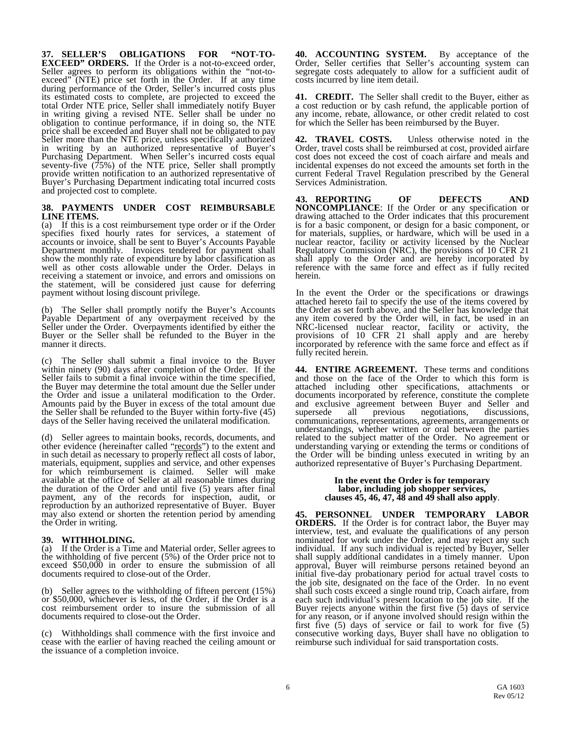<span id="page-6-0"></span>**37. SELLER'S OBLIGATIONS FOR "NOT-TO- EXCEED" ORDERS.** If the Order is a not-to-exceed order, Seller agrees to perform its obligations within the "not-to- exceed" (NTE) price set forth in the Order. If at any time during performance of the Order, Seller's incurred costs plus its estimated costs to complete, are projected to exceed the total Order NTE price, Seller shall immediately notify Buyer in writing giving a revised NTE. Seller shall be under no obligation to continue performance, if in doing so, the NTE price shall be exceeded and Buyer shall not be obligated to pay Seller more than the NTE price, unless specifically authorized in writing by an authorized representative of Buyer's Purchasing Department. When Seller's incurred costs equal seventy-five (75%) of the NTE price, Seller shall promptly provide written notification to an authorized representative of Buyer's Purchasing Department indicating total incurred costs and projected cost to complete.

### <span id="page-6-1"></span>**38. PAYMENTS UNDER COST REIMBURSABLE LINE ITEMS.**

(a) If this is a cost reimbursement type order or if the Order specifies fixed hourly rates for services, a statement of accounts or invoice, shall be sent to Buyer's Accounts Payable Department monthly. Invoices tendered for payment shall show the monthly rate of expenditure by labor classification as well as other costs allowable under the Order. Delays in receiving a statement or invoice, and errors and omissions on the statement, will be considered just cause for deferring payment without losing discount privilege.

(b) The Seller shall promptly notify the Buyer's Accounts Payable Department of any overpayment received by the Seller under the Order. Overpayments identified by either the Buyer or the Seller shall be refunded to the Buyer in the manner it directs.

(c) The Seller shall submit a final invoice to the Buyer within ninety (90) days after completion of the Order. If the Seller fails to submit a final invoice within the time specified, the Buyer may determine the total amount due the Seller under the Order and issue a unilateral modification to the Order. Amounts paid by the Buyer in excess of the total amount due the Seller shall be refunded to the Buyer within forty-five (45) days of the Seller having received the unilateral modification.

(d) Seller agrees to maintain books, records, documents, and other evidence (hereinafter called "records") to the extent and in such detail as necessary to properly reflect all costs of labor, materials, equipment, supplies and service, and other expenses for which reimbursement is claimed. Seller will make for which reimbursement is claimed. available at the office of Seller at all reasonable times during the duration of the Order and until five (5) years after final payment, any of the records for inspection, audit, or reproduction by an authorized representative of Buyer. Buyer may also extend or shorten the retention period by amending the Order in writing.

<span id="page-6-2"></span>**39. WITHHOLDING.** (a) If the Order is a Time and Material order, Seller agrees to the withholding of five percent (5%) of the Order price not to exceed \$50,000 in order to ensure the submission of all documents required to close-out of the Order.

(b) Seller agrees to the withholding of fifteen percent (15%) or \$50,000, whichever is less, of the Order, if the Order is a cost reimbursement order to insure the submission of all documents required to close-out the Order.

(c) Withholdings shall commence with the first invoice and cease with the earlier of having reached the ceiling amount or the issuance of a completion invoice.

<span id="page-6-3"></span>**40. ACCOUNTING SYSTEM.** By acceptance of the Order, Seller certifies that Seller's accounting system can segregate costs adequately to allow for a sufficient audit of costs incurred by line item detail.

<span id="page-6-4"></span>**41. CREDIT.** The Seller shall credit to the Buyer, either as a cost reduction or by cash refund, the applicable portion of any income, rebate, allowance, or other credit related to cost for which the Seller has been reimbursed by the Buyer.

<span id="page-6-5"></span>**42. TRAVEL COSTS.** Unless otherwise noted in the Order, travel costs shall be reimbursed at cost, provided airfare cost does not exceed the cost of coach airfare and meals and incidental expenses do not exceed the amounts set forth in the current Federal Travel Regulation prescribed by the General Services Administration.

<span id="page-6-6"></span>**43. REPORTING OF DEFECTS AND NONCOMPLIANCE**: If the Order or any specification or drawing attached to the Order indicates that this procurement is for a basic component, or design for a basic component, or for materials, supplies, or hardware, which will be used in a nuclear reactor, facility or activity licensed by the Nuclear Regulatory Commission (NRC), the provisions of 10 CFR 21 shall apply to the Order and are hereby incorporated by reference with the same force and effect as if fully recited herein.

In the event the Order or the specifications or drawings attached hereto fail to specify the use of the items covered by the Order as set forth above, and the Seller has knowledge that any item covered by the Order will, in fact, be used in an NRC-licensed nuclear reactor, facility or activity, the provisions of 10 CFR 21 shall apply and are hereby incorporated by reference with the same force and effect as if fully recited herein.

<span id="page-6-7"></span>**44. ENTIRE AGREEMENT.** These terms and conditions and those on the face of the Order to which this form is attached including other specifications, attachments or documents incorporated by reference, constitute the complete and exclusive agreement between Buyer and Seller and supersede all previous negotiations, discussions, communications, representations, agreements, arrangements or understandings, whether written or oral between the parties related to the subject matter of the Order. No agreement or understanding varying or extending the terms or conditions of the Order will be binding unless executed in writing by an authorized representative of Buyer's Purchasing Department.

# **In the event the Order is for temporary labor, including job shopper services, clauses 45, 46, 47, 48 and 49 shall also apply**.

<span id="page-6-8"></span>**45. PERSONNEL UNDER TEMPORARY LABOR ORDERS.** If the Order is for contract labor, the Buyer may interview, test, and evaluate the qualifications of any person nominated for work under the Order, and may reject any such individual. If any such individual is rejected by Buyer, Seller shall supply additional candidates in a timely manner. Upon approval, Buyer will reimburse persons retained beyond an initial five-day probationary period for actual travel costs to the job site, designated on the face of the Order. In no event shall such costs exceed a single round trip, Coach airfare, from each such individual's present location to the job site. If the Buyer rejects anyone within the first five (5) days of service for any reason, or if anyone involved should resign within the first five (5) days of service or fail to work for five (5) consecutive working days, Buyer shall have no obligation to reimburse such individual for said transportation costs.